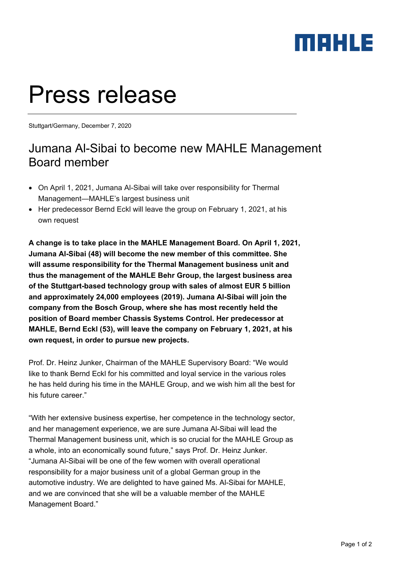### MAHLE

# Press release

Stuttgart/Germany, December 7, 2020

### Jumana Al-Sibai to become new MAHLE Management Board member

- On April 1, 2021, Jumana Al-Sibai will take over responsibility for Thermal Management—MAHLE's largest business unit
- Her predecessor Bernd Eckl will leave the group on February 1, 2021, at his own request

**A change is to take place in the MAHLE Management Board. On April 1, 2021, Jumana Al-Sibai (48) will become the new member of this committee. She will assume responsibility for the Thermal Management business unit and thus the management of the MAHLE Behr Group, the largest business area of the Stuttgart-based technology group with sales of almost EUR 5 billion and approximately 24,000 employees (2019). Jumana Al-Sibai will join the company from the Bosch Group, where she has most recently held the position of Board member Chassis Systems Control. Her predecessor at MAHLE, Bernd Eckl (53), will leave the company on February 1, 2021, at his own request, in order to pursue new projects.** 

Prof. Dr. Heinz Junker, Chairman of the MAHLE Supervisory Board: "We would like to thank Bernd Eckl for his committed and loyal service in the various roles he has held during his time in the MAHLE Group, and we wish him all the best for his future career."

"With her extensive business expertise, her competence in the technology sector, and her management experience, we are sure Jumana Al-Sibai will lead the Thermal Management business unit, which is so crucial for the MAHLE Group as a whole, into an economically sound future," says Prof. Dr. Heinz Junker. "Jumana Al-Sibai will be one of the few women with overall operational responsibility for a major business unit of a global German group in the automotive industry. We are delighted to have gained Ms. Al-Sibai for MAHLE, and we are convinced that she will be a valuable member of the MAHLE Management Board."